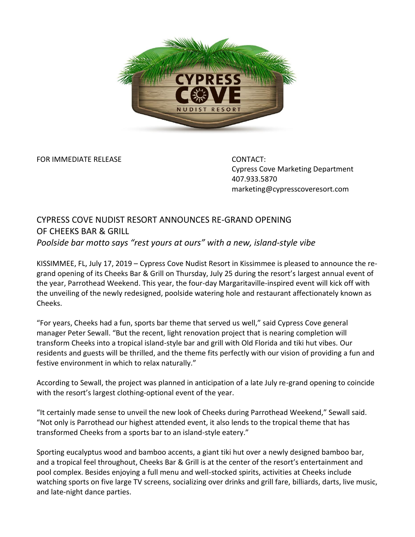

FOR IMMEDIATE RELEASE CONTACT:

Cypress Cove Marketing Department 407.933.5870 marketing@cypresscoveresort.com

## CYPRESS COVE NUDIST RESORT ANNOUNCES RE-GRAND OPENING OF CHEEKS BAR & GRILL *Poolside bar motto says "rest yours at ours" with a new, island-style vibe*

KISSIMMEE, FL, July 17, 2019 – Cypress Cove Nudist Resort in Kissimmee is pleased to announce the regrand opening of its Cheeks Bar & Grill on Thursday, July 25 during the resort's largest annual event of the year, Parrothead Weekend. This year, the four-day Margaritaville-inspired event will kick off with the unveiling of the newly redesigned, poolside watering hole and restaurant affectionately known as Cheeks.

"For years, Cheeks had a fun, sports bar theme that served us well," said Cypress Cove general manager Peter Sewall. "But the recent, light renovation project that is nearing completion will transform Cheeks into a tropical island-style bar and grill with Old Florida and tiki hut vibes. Our residents and guests will be thrilled, and the theme fits perfectly with our vision of providing a fun and festive environment in which to relax naturally."

According to Sewall, the project was planned in anticipation of a late July re-grand opening to coincide with the resort's largest clothing-optional event of the year.

"It certainly made sense to unveil the new look of Cheeks during Parrothead Weekend," Sewall said. "Not only is Parrothead our highest attended event, it also lends to the tropical theme that has transformed Cheeks from a sports bar to an island-style eatery."

Sporting eucalyptus wood and bamboo accents, a giant tiki hut over a newly designed bamboo bar, and a tropical feel throughout, Cheeks Bar & Grill is at the center of the resort's entertainment and pool complex. Besides enjoying a full menu and well-stocked spirits, activities at Cheeks include watching sports on five large TV screens, socializing over drinks and grill fare, billiards, darts, live music, and late-night dance parties.